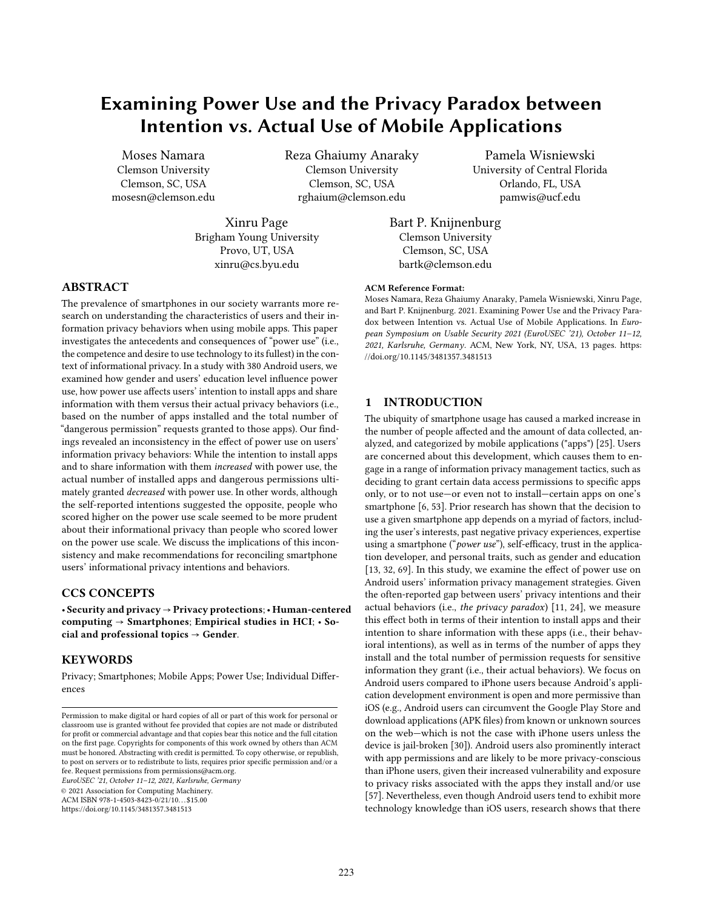# Examining Power Use and the Privacy Paradox between Intention vs. Actual Use of Mobile Applications

Moses Namara Clemson University Clemson, SC, USA mosesn@clemson.edu Reza Ghaiumy Anaraky Clemson University Clemson, SC, USA rghaium@clemson.edu

Xinru Page Brigham Young University Provo, UT, USA xinru@cs.byu.edu

Pamela Wisniewski University of Central Florida Orlando, FL, USA pamwis@ucf.edu

Bart P. Knijnenburg Clemson University Clemson, SC, USA bartk@clemson.edu

### ABSTRACT

The prevalence of smartphones in our society warrants more research on understanding the characteristics of users and their information privacy behaviors when using mobile apps. This paper investigates the antecedents and consequences of "power use" (i.e., the competence and desire to use technology to its fullest) in the context of informational privacy. In a study with 380 Android users, we examined how gender and users' education level influence power use, how power use affects users' intention to install apps and share information with them versus their actual privacy behaviors (i.e., based on the number of apps installed and the total number of "dangerous permission" requests granted to those apps). Our findings revealed an inconsistency in the effect of power use on users' information privacy behaviors: While the intention to install apps and to share information with them increased with power use, the actual number of installed apps and dangerous permissions ultimately granted decreased with power use. In other words, although the self-reported intentions suggested the opposite, people who scored higher on the power use scale seemed to be more prudent about their informational privacy than people who scored lower on the power use scale. We discuss the implications of this inconsistency and make recommendations for reconciling smartphone users' informational privacy intentions and behaviors.

### CCS CONCEPTS

• Security and privacy → Privacy protections;• Human-centered computing  $\rightarrow$  Smartphones; Empirical studies in HCI;  $\cdot$  Social and professional topics  $\rightarrow$  Gender.

#### **KEYWORDS**

Privacy; Smartphones; Mobile Apps; Power Use; Individual Differences

EuroUSEC '21, October 11–12, 2021, Karlsruhe, Germany

© 2021 Association for Computing Machinery.

ACM ISBN 978-1-4503-8423-0/21/10. . . \$15.00

<https://doi.org/10.1145/3481357.3481513>

#### ACM Reference Format:

Moses Namara, Reza Ghaiumy Anaraky, Pamela Wisniewski, Xinru Page, and Bart P. Knijnenburg. 2021. Examining Power Use and the Privacy Paradox between Intention vs. Actual Use of Mobile Applications. In European Symposium on Usable Security 2021 (EuroUSEC '21), October 11–12, 2021, Karlsruhe, Germany. ACM, New York, NY, USA, [13](#page-12-0) pages. [https:](https://doi.org/10.1145/3481357.3481513) [//doi.org/10.1145/3481357.3481513](https://doi.org/10.1145/3481357.3481513)

### 1 INTRODUCTION

The ubiquity of smartphone usage has caused a marked increase in the number of people affected and the amount of data collected, analyzed, and categorized by mobile applications ("apps") [\[25\]](#page-10-0). Users are concerned about this development, which causes them to engage in a range of information privacy management tactics, such as deciding to grant certain data access permissions to specific apps only, or to not use—or even not to install—certain apps on one's smartphone [\[6,](#page-10-1) [53\]](#page-11-0). Prior research has shown that the decision to use a given smartphone app depends on a myriad of factors, including the user's interests, past negative privacy experiences, expertise using a smartphone ("power use"), self-efficacy, trust in the application developer, and personal traits, such as gender and education [\[13,](#page-10-2) [32,](#page-10-3) [69\]](#page-11-1). In this study, we examine the effect of power use on Android users' information privacy management strategies. Given the often-reported gap between users' privacy intentions and their actual behaviors (i.e., the privacy paradox) [\[11,](#page-10-4) [24\]](#page-10-5), we measure this effect both in terms of their intention to install apps and their intention to share information with these apps (i.e., their behavioral intentions), as well as in terms of the number of apps they install and the total number of permission requests for sensitive information they grant (i.e., their actual behaviors). We focus on Android users compared to iPhone users because Android's application development environment is open and more permissive than iOS (e.g., Android users can circumvent the Google Play Store and download applications (APK files) from known or unknown sources on the web—which is not the case with iPhone users unless the device is jail-broken [\[30\]](#page-10-6)). Android users also prominently interact with app permissions and are likely to be more privacy-conscious than iPhone users, given their increased vulnerability and exposure to privacy risks associated with the apps they install and/or use [\[57\]](#page-11-2). Nevertheless, even though Android users tend to exhibit more technology knowledge than iOS users, research shows that there

Permission to make digital or hard copies of all or part of this work for personal or classroom use is granted without fee provided that copies are not made or distributed for profit or commercial advantage and that copies bear this notice and the full citation on the first page. Copyrights for components of this work owned by others than ACM must be honored. Abstracting with credit is permitted. To copy otherwise, or republish, to post on servers or to redistribute to lists, requires prior specific permission and/or a fee. Request permissions from permissions@acm.org.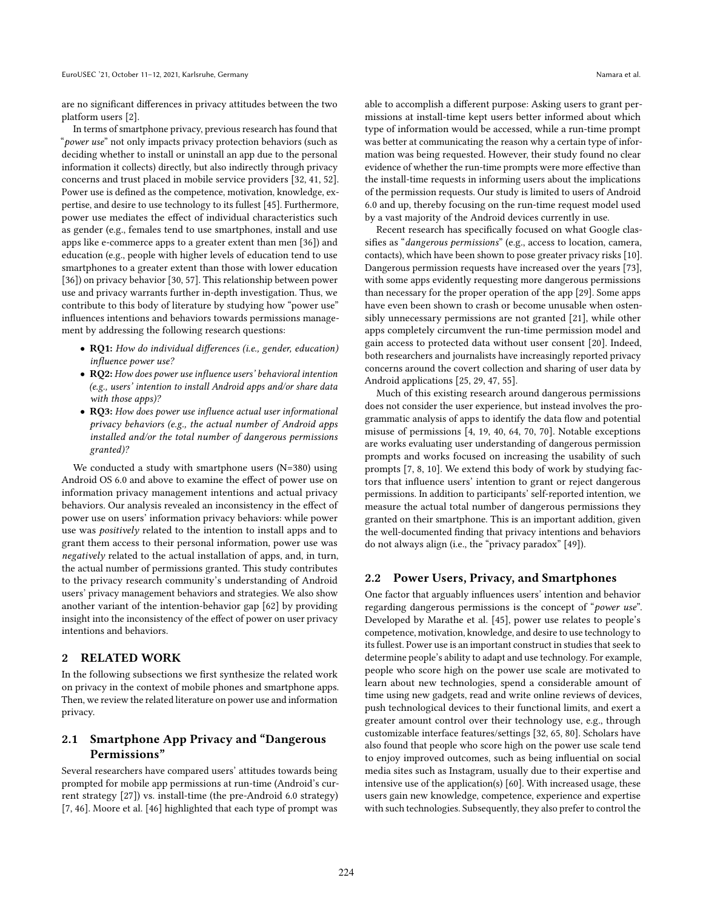are no significant differences in privacy attitudes between the two platform users [\[2\]](#page-10-7).

In terms of smartphone privacy, previous research has found that "power use" not only impacts privacy protection behaviors (such as deciding whether to install or uninstall an app due to the personal information it collects) directly, but also indirectly through privacy concerns and trust placed in mobile service providers [\[32,](#page-10-3) [41,](#page-11-3) [52\]](#page-11-4). Power use is defined as the competence, motivation, knowledge, expertise, and desire to use technology to its fullest [\[45\]](#page-11-5). Furthermore, power use mediates the effect of individual characteristics such as gender (e.g., females tend to use smartphones, install and use apps like e-commerce apps to a greater extent than men [\[36\]](#page-11-6)) and education (e.g., people with higher levels of education tend to use smartphones to a greater extent than those with lower education [\[36\]](#page-11-6)) on privacy behavior [\[30,](#page-10-6) [57\]](#page-11-2). This relationship between power use and privacy warrants further in-depth investigation. Thus, we contribute to this body of literature by studying how "power use" influences intentions and behaviors towards permissions management by addressing the following research questions:

- RQ1: How do individual differences (i.e., gender, education) influence power use?
- RQ2: How does power use influence users' behavioral intention (e.g., users' intention to install Android apps and/or share data with those apps)?
- RQ3: How does power use influence actual user informational privacy behaviors (e.g., the actual number of Android apps installed and/or the total number of dangerous permissions granted)?

We conducted a study with smartphone users (N=380) using Android OS 6.0 and above to examine the effect of power use on information privacy management intentions and actual privacy behaviors. Our analysis revealed an inconsistency in the effect of power use on users' information privacy behaviors: while power use was positively related to the intention to install apps and to grant them access to their personal information, power use was negatively related to the actual installation of apps, and, in turn, the actual number of permissions granted. This study contributes to the privacy research community's understanding of Android users' privacy management behaviors and strategies. We also show another variant of the intention-behavior gap [\[62\]](#page-11-7) by providing insight into the inconsistency of the effect of power on user privacy intentions and behaviors.

#### 2 RELATED WORK

In the following subsections we first synthesize the related work on privacy in the context of mobile phones and smartphone apps. Then, we review the related literature on power use and information privacy.

### 2.1 Smartphone App Privacy and "Dangerous Permissions"

Several researchers have compared users' attitudes towards being prompted for mobile app permissions at run-time (Android's current strategy [\[27\]](#page-10-8)) vs. install-time (the pre-Android 6.0 strategy) [\[7,](#page-10-9) [46\]](#page-11-8). Moore et al. [\[46\]](#page-11-8) highlighted that each type of prompt was

able to accomplish a different purpose: Asking users to grant permissions at install-time kept users better informed about which type of information would be accessed, while a run-time prompt was better at communicating the reason why a certain type of information was being requested. However, their study found no clear evidence of whether the run-time prompts were more effective than the install-time requests in informing users about the implications of the permission requests. Our study is limited to users of Android 6.0 and up, thereby focusing on the run-time request model used by a vast majority of the Android devices currently in use.

Recent research has specifically focused on what Google classifies as "dangerous permissions" (e.g., access to location, camera, contacts), which have been shown to pose greater privacy risks [\[10\]](#page-10-10). Dangerous permission requests have increased over the years [\[73\]](#page-11-9), with some apps evidently requesting more dangerous permissions than necessary for the proper operation of the app [\[29\]](#page-10-11). Some apps have even been shown to crash or become unusable when ostensibly unnecessary permissions are not granted [\[21\]](#page-10-12), while other apps completely circumvent the run-time permission model and gain access to protected data without user consent [\[20\]](#page-10-13). Indeed, both researchers and journalists have increasingly reported privacy concerns around the covert collection and sharing of user data by Android applications [\[25,](#page-10-0) [29,](#page-10-11) [47,](#page-11-10) [55\]](#page-11-11).

Much of this existing research around dangerous permissions does not consider the user experience, but instead involves the programmatic analysis of apps to identify the data flow and potential misuse of permissions [\[4,](#page-10-14) [19,](#page-10-15) [40,](#page-11-12) [64,](#page-11-13) [70,](#page-11-14) [70\]](#page-11-14). Notable exceptions are works evaluating user understanding of dangerous permission prompts and works focused on increasing the usability of such prompts [\[7,](#page-10-9) [8,](#page-10-16) [10\]](#page-10-10). We extend this body of work by studying factors that influence users' intention to grant or reject dangerous permissions. In addition to participants' self-reported intention, we measure the actual total number of dangerous permissions they granted on their smartphone. This is an important addition, given the well-documented finding that privacy intentions and behaviors do not always align (i.e., the "privacy paradox" [\[49\]](#page-11-15)).

#### <span id="page-1-0"></span>2.2 Power Users, Privacy, and Smartphones

One factor that arguably influences users' intention and behavior regarding dangerous permissions is the concept of "power use". Developed by Marathe et al. [\[45\]](#page-11-5), power use relates to people's competence, motivation, knowledge, and desire to use technology to its fullest. Power use is an important construct in studies that seek to determine people's ability to adapt and use technology. For example, people who score high on the power use scale are motivated to learn about new technologies, spend a considerable amount of time using new gadgets, read and write online reviews of devices, push technological devices to their functional limits, and exert a greater amount control over their technology use, e.g., through customizable interface features/settings [\[32,](#page-10-3) [65,](#page-11-16) [80\]](#page-12-1). Scholars have also found that people who score high on the power use scale tend to enjoy improved outcomes, such as being influential on social media sites such as Instagram, usually due to their expertise and intensive use of the application(s) [\[60\]](#page-11-17). With increased usage, these users gain new knowledge, competence, experience and expertise with such technologies. Subsequently, they also prefer to control the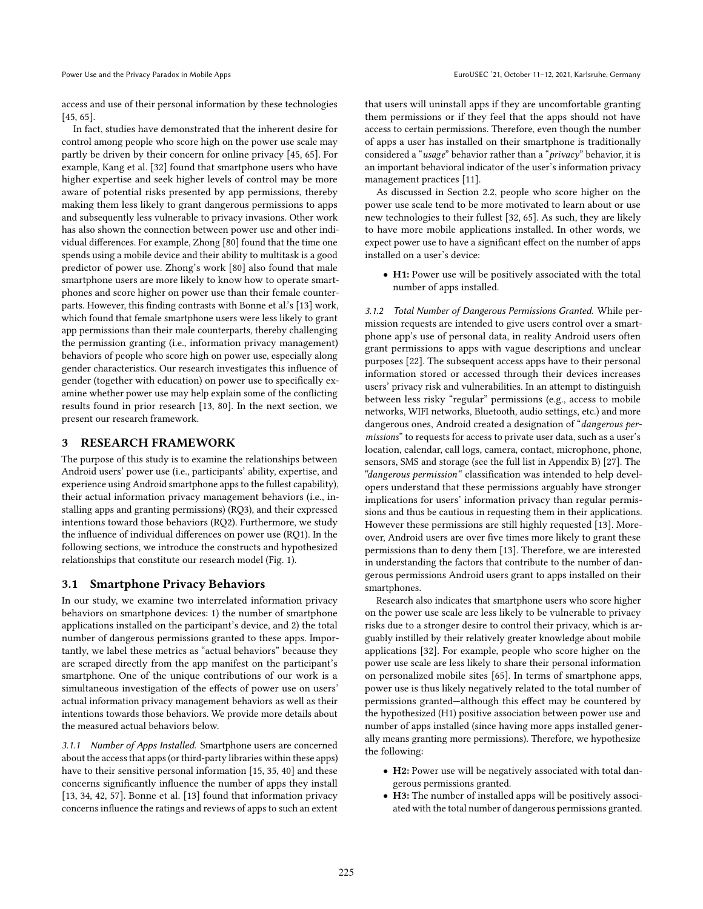access and use of their personal information by these technologies [\[45,](#page-11-5) [65\]](#page-11-16).

In fact, studies have demonstrated that the inherent desire for control among people who score high on the power use scale may partly be driven by their concern for online privacy [\[45,](#page-11-5) [65\]](#page-11-16). For example, Kang et al. [\[32\]](#page-10-3) found that smartphone users who have higher expertise and seek higher levels of control may be more aware of potential risks presented by app permissions, thereby making them less likely to grant dangerous permissions to apps and subsequently less vulnerable to privacy invasions. Other work has also shown the connection between power use and other individual differences. For example, Zhong [\[80\]](#page-12-1) found that the time one spends using a mobile device and their ability to multitask is a good predictor of power use. Zhong's work [\[80\]](#page-12-1) also found that male smartphone users are more likely to know how to operate smartphones and score higher on power use than their female counterparts. However, this finding contrasts with Bonne et al.'s [\[13\]](#page-10-2) work, which found that female smartphone users were less likely to grant app permissions than their male counterparts, thereby challenging the permission granting (i.e., information privacy management) behaviors of people who score high on power use, especially along gender characteristics. Our research investigates this influence of gender (together with education) on power use to specifically examine whether power use may help explain some of the conflicting results found in prior research [\[13,](#page-10-2) [80\]](#page-12-1). In the next section, we present our research framework.

### 3 RESEARCH FRAMEWORK

The purpose of this study is to examine the relationships between Android users' power use (i.e., participants' ability, expertise, and experience using Android smartphone apps to the fullest capability), their actual information privacy management behaviors (i.e., installing apps and granting permissions) (RQ3), and their expressed intentions toward those behaviors (RQ2). Furthermore, we study the influence of individual differences on power use (RQ1). In the following sections, we introduce the constructs and hypothesized relationships that constitute our research model (Fig. [1\)](#page-3-0).

#### 3.1 Smartphone Privacy Behaviors

In our study, we examine two interrelated information privacy behaviors on smartphone devices: 1) the number of smartphone applications installed on the participant's device, and 2) the total number of dangerous permissions granted to these apps. Importantly, we label these metrics as "actual behaviors" because they are scraped directly from the app manifest on the participant's smartphone. One of the unique contributions of our work is a simultaneous investigation of the effects of power use on users' actual information privacy management behaviors as well as their intentions towards those behaviors. We provide more details about the measured actual behaviors below.

3.1.1 Number of Apps Installed. Smartphone users are concerned about the access that apps (or third-party libraries within these apps) have to their sensitive personal information [\[15,](#page-10-17) [35,](#page-11-18) [40\]](#page-11-12) and these concerns significantly influence the number of apps they install [\[13,](#page-10-2) [34,](#page-11-19) [42,](#page-11-20) [57\]](#page-11-2). Bonne et al. [\[13\]](#page-10-2) found that information privacy concerns influence the ratings and reviews of apps to such an extent

that users will uninstall apps if they are uncomfortable granting them permissions or if they feel that the apps should not have access to certain permissions. Therefore, even though the number of apps a user has installed on their smartphone is traditionally considered a "usage" behavior rather than a "privacy" behavior, it is an important behavioral indicator of the user's information privacy management practices [\[11\]](#page-10-4).

As discussed in Section [2.2,](#page-1-0) people who score higher on the power use scale tend to be more motivated to learn about or use new technologies to their fullest [\[32,](#page-10-3) [65\]](#page-11-16). As such, they are likely to have more mobile applications installed. In other words, we expect power use to have a significant effect on the number of apps installed on a user's device:

● H1: Power use will be positively associated with the total number of apps installed.

3.1.2 Total Number of Dangerous Permissions Granted. While permission requests are intended to give users control over a smartphone app's use of personal data, in reality Android users often grant permissions to apps with vague descriptions and unclear purposes [\[22\]](#page-10-18). The subsequent access apps have to their personal information stored or accessed through their devices increases users' privacy risk and vulnerabilities. In an attempt to distinguish between less risky "regular" permissions (e.g., access to mobile networks, WIFI networks, Bluetooth, audio settings, etc.) and more dangerous ones, Android created a designation of "*dangerous per*missions" to requests for access to private user data, such as a user's location, calendar, call logs, camera, contact, microphone, phone, sensors, SMS and storage (see the full list in Appendix [B\)](#page-12-2) [\[27\]](#page-10-8). The "dangerous permission" classification was intended to help developers understand that these permissions arguably have stronger implications for users' information privacy than regular permissions and thus be cautious in requesting them in their applications. However these permissions are still highly requested [\[13\]](#page-10-2). Moreover, Android users are over five times more likely to grant these permissions than to deny them [\[13\]](#page-10-2). Therefore, we are interested in understanding the factors that contribute to the number of dangerous permissions Android users grant to apps installed on their smartphones.

Research also indicates that smartphone users who score higher on the power use scale are less likely to be vulnerable to privacy risks due to a stronger desire to control their privacy, which is arguably instilled by their relatively greater knowledge about mobile applications [\[32\]](#page-10-3). For example, people who score higher on the power use scale are less likely to share their personal information on personalized mobile sites [\[65\]](#page-11-16). In terms of smartphone apps, power use is thus likely negatively related to the total number of permissions granted—although this effect may be countered by the hypothesized (H1) positive association between power use and number of apps installed (since having more apps installed generally means granting more permissions). Therefore, we hypothesize the following:

- H2: Power use will be negatively associated with total dangerous permissions granted.
- H3: The number of installed apps will be positively associated with the total number of dangerous permissions granted.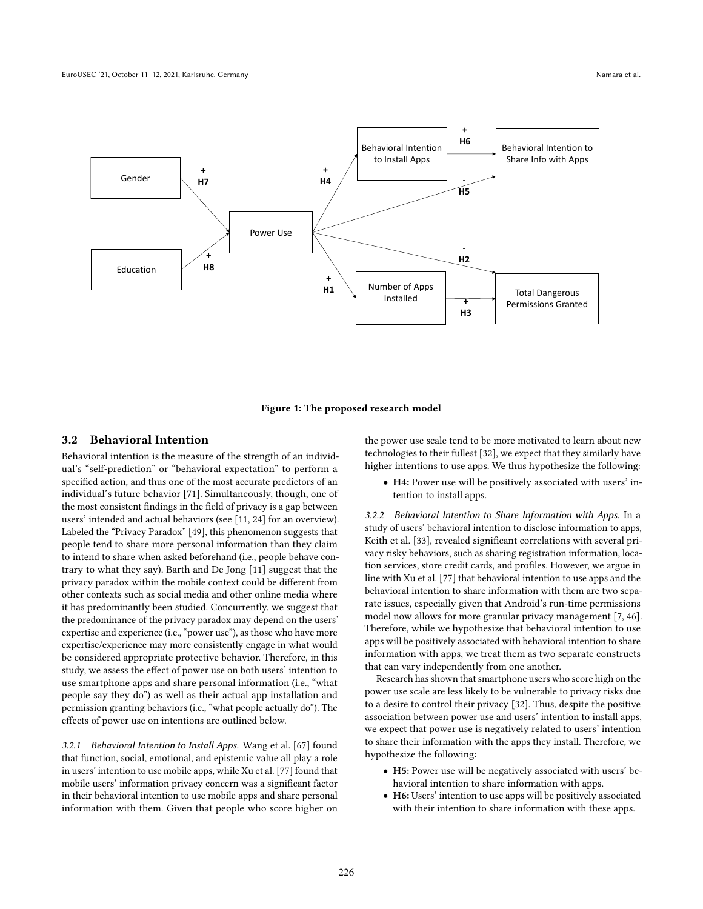<span id="page-3-0"></span>

Figure 1: The proposed research model

#### 3.2 Behavioral Intention

Behavioral intention is the measure of the strength of an individual's "self-prediction" or "behavioral expectation" to perform a specified action, and thus one of the most accurate predictors of an individual's future behavior [\[71\]](#page-11-21). Simultaneously, though, one of the most consistent findings in the field of privacy is a gap between users' intended and actual behaviors (see [\[11,](#page-10-4) [24\]](#page-10-5) for an overview). Labeled the "Privacy Paradox" [\[49\]](#page-11-15), this phenomenon suggests that people tend to share more personal information than they claim to intend to share when asked beforehand (i.e., people behave contrary to what they say). Barth and De Jong [\[11\]](#page-10-4) suggest that the privacy paradox within the mobile context could be different from other contexts such as social media and other online media where it has predominantly been studied. Concurrently, we suggest that the predominance of the privacy paradox may depend on the users' expertise and experience (i.e., "power use"), as those who have more expertise/experience may more consistently engage in what would be considered appropriate protective behavior. Therefore, in this study, we assess the effect of power use on both users' intention to use smartphone apps and share personal information (i.e., "what people say they do") as well as their actual app installation and permission granting behaviors (i.e., "what people actually do"). The effects of power use on intentions are outlined below.

3.2.1 Behavioral Intention to Install Apps. Wang et al. [\[67\]](#page-11-22) found that function, social, emotional, and epistemic value all play a role in users' intention to use mobile apps, while Xu et al. [\[77\]](#page-11-23) found that mobile users' information privacy concern was a significant factor in their behavioral intention to use mobile apps and share personal information with them. Given that people who score higher on the power use scale tend to be more motivated to learn about new technologies to their fullest [\[32\]](#page-10-3), we expect that they similarly have higher intentions to use apps. We thus hypothesize the following:

● H4: Power use will be positively associated with users' intention to install apps.

3.2.2 Behavioral Intention to Share Information with Apps. In a study of users' behavioral intention to disclose information to apps, Keith et al. [\[33\]](#page-11-24), revealed significant correlations with several privacy risky behaviors, such as sharing registration information, location services, store credit cards, and profiles. However, we argue in line with Xu et al. [\[77\]](#page-11-23) that behavioral intention to use apps and the behavioral intention to share information with them are two separate issues, especially given that Android's run-time permissions model now allows for more granular privacy management [\[7,](#page-10-9) [46\]](#page-11-8). Therefore, while we hypothesize that behavioral intention to use apps will be positively associated with behavioral intention to share information with apps, we treat them as two separate constructs that can vary independently from one another.

Research has shown that smartphone users who score high on the power use scale are less likely to be vulnerable to privacy risks due to a desire to control their privacy [\[32\]](#page-10-3). Thus, despite the positive association between power use and users' intention to install apps, we expect that power use is negatively related to users' intention to share their information with the apps they install. Therefore, we hypothesize the following:

- H5: Power use will be negatively associated with users' behavioral intention to share information with apps.
- H6: Users' intention to use apps will be positively associated with their intention to share information with these apps.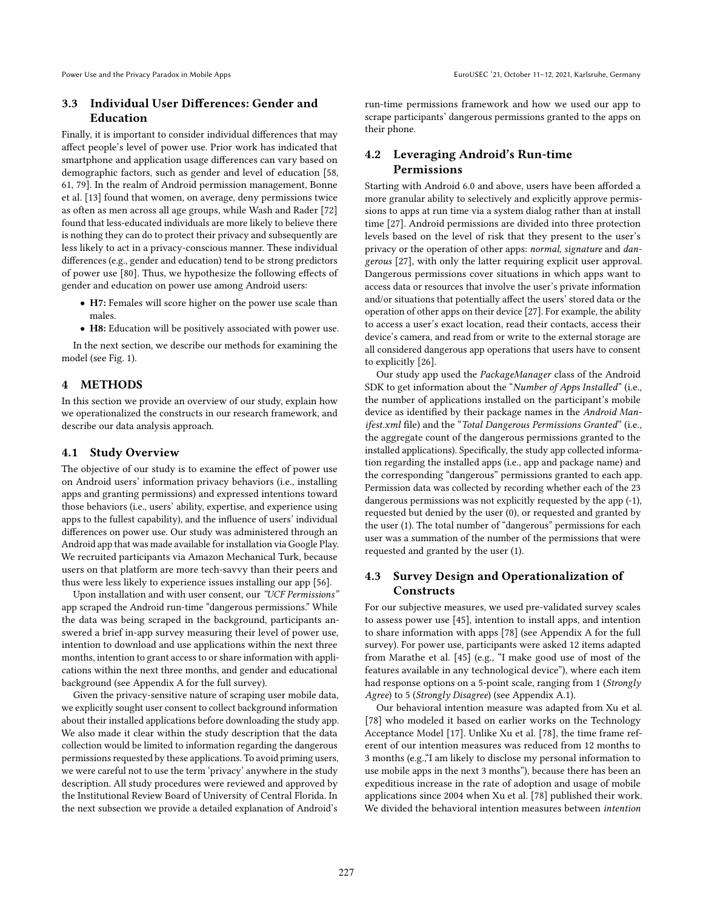### 3.3 Individual User Differences: Gender and Education

Finally, it is important to consider individual differences that may affect people's level of power use. Prior work has indicated that smartphone and application usage differences can vary based on demographic factors, such as gender and level of education [\[58,](#page-11-25) [61,](#page-11-26) [79\]](#page-11-27). In the realm of Android permission management, Bonne et al. [\[13\]](#page-10-2) found that women, on average, deny permissions twice as often as men across all age groups, while Wash and Rader [\[72\]](#page-11-28) found that less-educated individuals are more likely to believe there is nothing they can do to protect their privacy and subsequently are less likely to act in a privacy-conscious manner. These individual differences (e.g., gender and education) tend to be strong predictors of power use [\[80\]](#page-12-1). Thus, we hypothesize the following effects of gender and education on power use among Android users:

- H7: Females will score higher on the power use scale than males.
- H8: Education will be positively associated with power use.

In the next section, we describe our methods for examining the model (see Fig. [1\)](#page-3-0).

### 4 METHODS

In this section we provide an overview of our study, explain how we operationalized the constructs in our research framework, and describe our data analysis approach.

#### 4.1 Study Overview

The objective of our study is to examine the effect of power use on Android users' information privacy behaviors (i.e., installing apps and granting permissions) and expressed intentions toward those behaviors (i.e., users' ability, expertise, and experience using apps to the fullest capability), and the influence of users' individual differences on power use. Our study was administered through an Android app that was made available for installation via Google Play. We recruited participants via Amazon Mechanical Turk, because users on that platform are more tech-savvy than their peers and thus were less likely to experience issues installing our app [\[56\]](#page-11-29).

Upon installation and with user consent, our "UCF Permissions" app scraped the Android run-time "dangerous permissions." While the data was being scraped in the background, participants answered a brief in-app survey measuring their level of power use, intention to download and use applications within the next three months, intention to grant access to or share information with applications within the next three months, and gender and educational background (see Appendix [A](#page-12-3) for the full survey).

Given the privacy-sensitive nature of scraping user mobile data, we explicitly sought user consent to collect background information about their installed applications before downloading the study app. We also made it clear within the study description that the data collection would be limited to information regarding the dangerous permissions requested by these applications. To avoid priming users, we were careful not to use the term 'privacy' anywhere in the study description. All study procedures were reviewed and approved by the Institutional Review Board of University of Central Florida. In the next subsection we provide a detailed explanation of Android's

run-time permissions framework and how we used our app to scrape participants' dangerous permissions granted to the apps on their phone.

## 4.2 Leveraging Android's Run-time Permissions

Starting with Android 6.0 and above, users have been afforded a more granular ability to selectively and explicitly approve permissions to apps at run time via a system dialog rather than at install time [\[27\]](#page-10-8). Android permissions are divided into three protection levels based on the level of risk that they present to the user's privacy or the operation of other apps: normal, signature and dangerous [\[27\]](#page-10-8), with only the latter requiring explicit user approval. Dangerous permissions cover situations in which apps want to access data or resources that involve the user's private information and/or situations that potentially affect the users' stored data or the operation of other apps on their device [\[27\]](#page-10-8). For example, the ability to access a user's exact location, read their contacts, access their device's camera, and read from or write to the external storage are all considered dangerous app operations that users have to consent to explicitly [\[26\]](#page-10-19).

Our study app used the PackageManager class of the Android SDK to get information about the "Number of Apps Installed" (i.e., the number of applications installed on the participant's mobile device as identified by their package names in the Android Manifest.xml file) and the "Total Dangerous Permissions Granted" (i.e., the aggregate count of the dangerous permissions granted to the installed applications). Specifically, the study app collected information regarding the installed apps (i.e., app and package name) and the corresponding "dangerous" permissions granted to each app. Permission data was collected by recording whether each of the 23 dangerous permissions was not explicitly requested by the app (-1), requested but denied by the user (0), or requested and granted by the user (1). The total number of "dangerous" permissions for each user was a summation of the number of the permissions that were requested and granted by the user (1).

### 4.3 Survey Design and Operationalization of **Constructs**

For our subjective measures, we used pre-validated survey scales to assess power use [\[45\]](#page-11-5), intention to install apps, and intention to share information with apps [\[78\]](#page-11-30) (see Appendix [A](#page-12-3) for the full survey). For power use, participants were asked 12 items adapted from Marathe et al. [\[45\]](#page-11-5) (e.g., "I make good use of most of the features available in any technological device"), where each item had response options on a 5-point scale, ranging from 1 (Strongly Agree) to 5 (Strongly Disagree) (see Appendix [A.](#page-12-3)1).

Our behavioral intention measure was adapted from Xu et al. [\[78\]](#page-11-30) who modeled it based on earlier works on the Technology Acceptance Model [\[17\]](#page-10-20). Unlike Xu et al. [\[78\]](#page-11-30), the time frame referent of our intention measures was reduced from 12 months to 3 months (e.g.,"I am likely to disclose my personal information to use mobile apps in the next 3 months"), because there has been an expeditious increase in the rate of adoption and usage of mobile applications since 2004 when Xu et al. [\[78\]](#page-11-30) published their work. We divided the behavioral intention measures between intention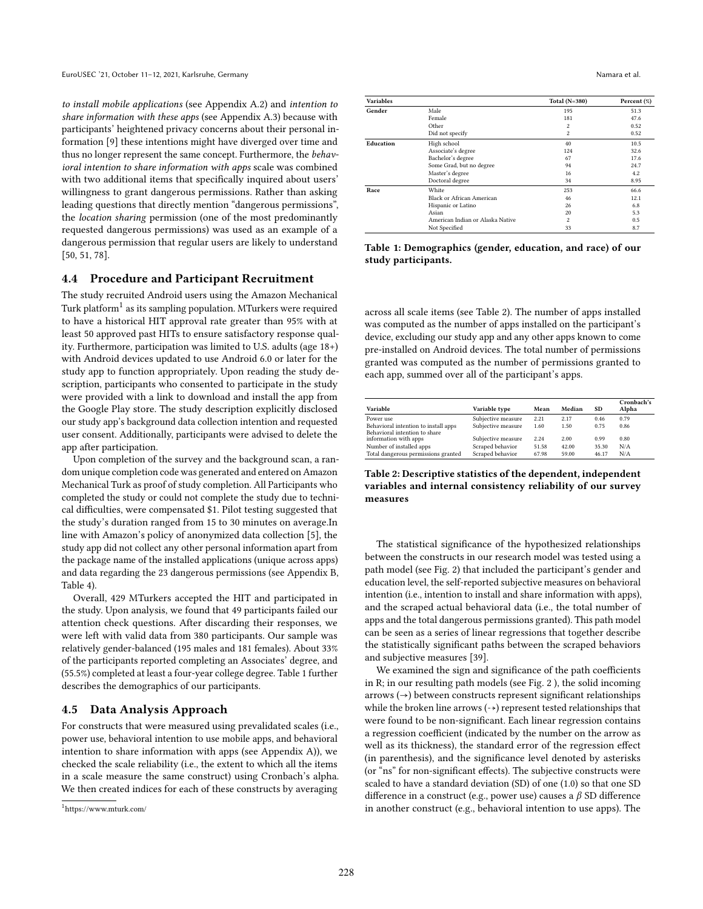to install mobile applications (see Appendix [A.](#page-12-3)2) and intention to share information with these apps (see Appendix [A.](#page-12-3)3) because with participants' heightened privacy concerns about their personal information [\[9\]](#page-10-21) these intentions might have diverged over time and thus no longer represent the same concept. Furthermore, the behavioral intention to share information with apps scale was combined with two additional items that specifically inquired about users' willingness to grant dangerous permissions. Rather than asking leading questions that directly mention "dangerous permissions", the location sharing permission (one of the most predominantly requested dangerous permissions) was used as an example of a dangerous permission that regular users are likely to understand [\[50,](#page-11-31) [51,](#page-11-32) [78\]](#page-11-30).

#### 4.4 Procedure and Participant Recruitment

The study recruited Android users using the Amazon Mechanical Turk platform<sup>[1](#page-5-0)</sup> as its sampling population. MTurkers were required to have a historical HIT approval rate greater than 95% with at least 50 approved past HITs to ensure satisfactory response quality. Furthermore, participation was limited to U.S. adults (age 18+) with Android devices updated to use Android 6.0 or later for the study app to function appropriately. Upon reading the study description, participants who consented to participate in the study were provided with a link to download and install the app from the Google Play store. The study description explicitly disclosed our study app's background data collection intention and requested user consent. Additionally, participants were advised to delete the app after participation.

Upon completion of the survey and the background scan, a random unique completion code was generated and entered on Amazon Mechanical Turk as proof of study completion. All Participants who completed the study or could not complete the study due to technical difficulties, were compensated \$1. Pilot testing suggested that the study's duration ranged from 15 to 30 minutes on average.In line with Amazon's policy of anonymized data collection [\[5\]](#page-10-22), the study app did not collect any other personal information apart from the package name of the installed applications (unique across apps) and data regarding the 23 dangerous permissions (see Appendix [B,](#page-12-2) Table [4\)](#page-12-4).

Overall, 429 MTurkers accepted the HIT and participated in the study. Upon analysis, we found that 49 participants failed our attention check questions. After discarding their responses, we were left with valid data from 380 participants. Our sample was relatively gender-balanced (195 males and 181 females). About 33% of the participants reported completing an Associates' degree, and (55.5%) completed at least a four-year college degree. Table [1](#page-5-1) further describes the demographics of our participants.

### 4.5 Data Analysis Approach

For constructs that were measured using prevalidated scales (i.e., power use, behavioral intention to use mobile apps, and behavioral intention to share information with apps (see Appendix [A\)](#page-12-3)), we checked the scale reliability (i.e., the extent to which all the items in a scale measure the same construct) using Cronbach's alpha. We then created indices for each of these constructs by averaging

<span id="page-5-1"></span>

| <b>Variables</b> |                                  | Total $(N=380)$ | Percent (%) |
|------------------|----------------------------------|-----------------|-------------|
| Gender           | Male                             | 195             | 51.3        |
|                  | Female                           | 181             | 47.6        |
|                  | Other                            | $\overline{c}$  | 0.52        |
|                  | Did not specify                  | $\overline{c}$  | 0.52        |
| Education        | High school                      | 40              | 10.5        |
|                  | Associate's degree               | 124             | 32.6        |
|                  | Bachelor's degree                | 67              | 17.6        |
|                  | Some Grad, but no degree         | 94              | 24.7        |
|                  | Master's degree                  | 16              | 4.2         |
|                  | Doctoral degree                  | 34              | 8.95        |
| Race             | White                            | 253             | 66.6        |
|                  | Black or African American        | 46              | 12.1        |
|                  | Hispanic or Latino               | 26              | 6.8         |
|                  | Asian                            | 20              | 5.3         |
|                  | American Indian or Alaska Native | $\mathfrak{D}$  | 0.5         |
|                  | Not Specified                    | 33              | 8.7         |

Table 1: Demographics (gender, education, and race) of our study participants.

across all scale items (see Table [2\)](#page-5-2). The number of apps installed was computed as the number of apps installed on the participant's device, excluding our study app and any other apps known to come pre-installed on Android devices. The total number of permissions granted was computed as the number of permissions granted to each app, summed over all of the participant's apps.

<span id="page-5-2"></span>

| Variable                                               | Variable type      | Mean  | Median | <b>SD</b> | Cronbach's<br>Alpha |
|--------------------------------------------------------|--------------------|-------|--------|-----------|---------------------|
| Power use                                              | Subjective measure | 2.21  | 2.17   | 0.46      | 0.79                |
| Behavioral intention to install apps                   | Subjective measure | 1.60  | 1.50   | 0.75      | 0.86                |
| Behavioral intention to share<br>information with apps | Subjective measure | 2.24  | 2.00   | 0.99      | 0.80                |
| Number of installed apps                               | Scraped behavior   | 51.58 | 42.00  | 35.30     | N/A                 |
| Total dangerous permissions granted                    | Scraped behavior   | 67.98 | 59.00  | 46.17     | N/A                 |

Table 2: Descriptive statistics of the dependent, independent variables and internal consistency reliability of our survey measures

The statistical significance of the hypothesized relationships between the constructs in our research model was tested using a path model (see Fig. [2\)](#page-7-0) that included the participant's gender and education level, the self-reported subjective measures on behavioral intention (i.e., intention to install and share information with apps), and the scraped actual behavioral data (i.e., the total number of apps and the total dangerous permissions granted). This path model can be seen as a series of linear regressions that together describe the statistically significant paths between the scraped behaviors and subjective measures [\[39\]](#page-11-33).

We examined the sign and significance of the path coefficients in R; in our resulting path models (see Fig. [2](#page-7-0) ), the solid incoming  $arrows$   $\leftrightarrow$  between constructs represent significant relationships while the broken line arrows  $(→)$  represent tested relationships that were found to be non-significant. Each linear regression contains a regression coefficient (indicated by the number on the arrow as well as its thickness), the standard error of the regression effect (in parenthesis), and the significance level denoted by asterisks (or "ns" for non-significant effects). The subjective constructs were scaled to have a standard deviation (SD) of one (1.0) so that one SD difference in a construct (e.g., power use) causes a  $\beta$  SD difference in another construct (e.g., behavioral intention to use apps). The

<span id="page-5-0"></span><sup>1</sup> https://www.mturk.com/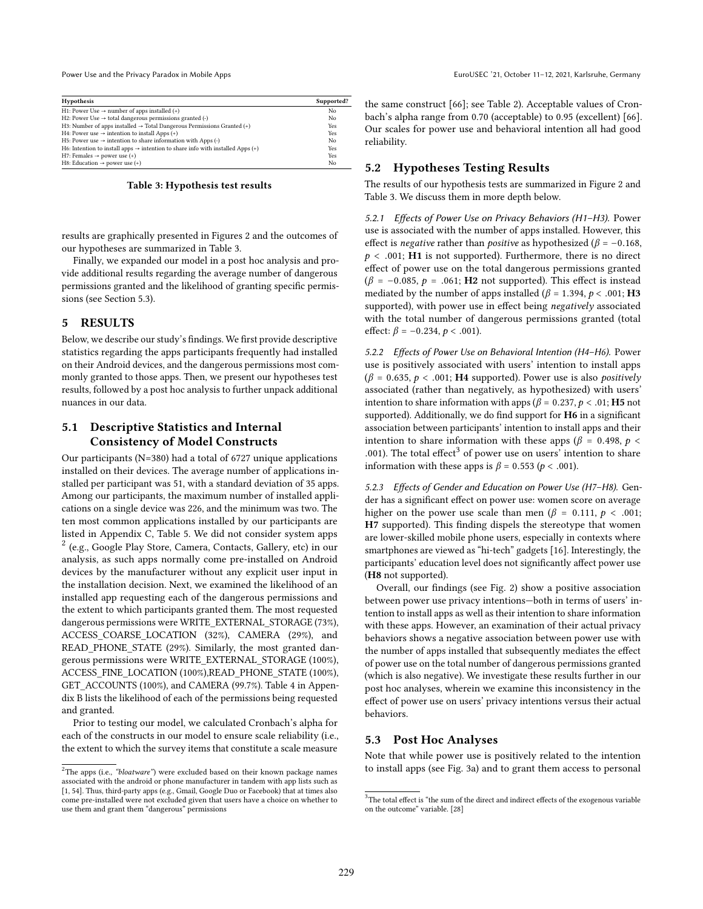<span id="page-6-0"></span>

| <b>Hypothesis</b>                                                                           | Supported? |
|---------------------------------------------------------------------------------------------|------------|
| H1: Power Use $\rightarrow$ number of apps installed (+)                                    | No         |
| H2: Power Use $\rightarrow$ total dangerous permissions granted (-)                         | No         |
| H3: Number of apps installed $\rightarrow$ Total Dangerous Permissions Granted (+)          | Yes        |
| H4: Power use $\rightarrow$ intention to install Apps (+)                                   | Yes        |
| H5: Power use $\rightarrow$ intention to share information with Apps (-)                    | No         |
| H6: Intention to install apps $\rightarrow$ intention to share info with installed Apps (+) | Yes        |
| H7: Females $\rightarrow$ power use (+)                                                     | Yes        |
| H8: Education $\rightarrow$ power use (+)                                                   | No         |

#### Table 3: Hypothesis test results

results are graphically presented in Figures [2](#page-7-0) and the outcomes of our hypotheses are summarized in Table [3.](#page-6-0)

Finally, we expanded our model in a post hoc analysis and provide additional results regarding the average number of dangerous permissions granted and the likelihood of granting specific permissions (see Section [5.3\)](#page-6-1).

#### 5 RESULTS

Below, we describe our study's findings. We first provide descriptive statistics regarding the apps participants frequently had installed on their Android devices, and the dangerous permissions most commonly granted to those apps. Then, we present our hypotheses test results, followed by a post hoc analysis to further unpack additional nuances in our data.

### 5.1 Descriptive Statistics and Internal Consistency of Model Constructs

Our participants (N=380) had a total of 6727 unique applications installed on their devices. The average number of applications installed per participant was 51, with a standard deviation of 35 apps. Among our participants, the maximum number of installed applications on a single device was 226, and the minimum was two. The ten most common applications installed by our participants are listed in Appendix [C,](#page-12-5) Table [5.](#page-12-6) We did not consider system apps [2](#page-6-2) (e.g., Google Play Store, Camera, Contacts, Gallery, etc) in our analysis, as such apps normally come pre-installed on Android devices by the manufacturer without any explicit user input in the installation decision. Next, we examined the likelihood of an installed app requesting each of the dangerous permissions and the extent to which participants granted them. The most requested dangerous permissions were WRITE\_EXTERNAL\_STORAGE (73%), ACCESS\_COARSE\_LOCATION (32%), CAMERA (29%), and READ\_PHONE\_STATE (29%). Similarly, the most granted dangerous permissions were WRITE\_EXTERNAL\_STORAGE (100%), ACCESS\_FINE\_LOCATION (100%),READ\_PHONE\_STATE (100%), GET\_ACCOUNTS (100%), and CAMERA (99.7%). Table [4](#page-12-4) in Appendix [B](#page-12-2) lists the likelihood of each of the permissions being requested and granted.

Prior to testing our model, we calculated Cronbach's alpha for each of the constructs in our model to ensure scale reliability (i.e., the extent to which the survey items that constitute a scale measure

the same construct [\[66\]](#page-11-35); see Table [2\)](#page-5-2). Acceptable values of Cronbach's alpha range from 0.70 (acceptable) to 0.95 (excellent) [\[66\]](#page-11-35). Our scales for power use and behavioral intention all had good reliability.

#### 5.2 Hypotheses Testing Results

The results of our hypothesis tests are summarized in Figure [2](#page-7-0) and Table [3.](#page-6-0) We discuss them in more depth below.

5.2.1 Effects of Power Use on Privacy Behaviors (H1–H3). Power use is associated with the number of apps installed. However, this effect is *negative* rather than *positive* as hypothesized ( $\beta$  = -0.168,  $p < .001$ ; H1 is not supported). Furthermore, there is no direct effect of power use on the total dangerous permissions granted  $(\beta = -0.085, p = .061; H2$  not supported). This effect is instead mediated by the number of apps installed ( $\beta$  = 1.394,  $p < .001$ ; H3 supported), with power use in effect being negatively associated with the total number of dangerous permissions granted (total effect:  $\beta = -0.234, p < .001$ ).

5.2.2 Effects of Power Use on Behavioral Intention (H4–H6). Power use is positively associated with users' intention to install apps  $(\beta = 0.635, p < .001; H4$  supported). Power use is also *positively* associated (rather than negatively, as hypothesized) with users' intention to share information with apps ( $\beta$  = 0.237,  $p$  < .01; **H5** not supported). Additionally, we do find support for H6 in a significant association between participants' intention to install apps and their intention to share information with these apps ( $\beta$  = 0.498,  $p$  < .001). The total effect<sup>[3](#page-6-3)</sup> of power use on users' intention to share<br>information with these apps is  $\beta = 0.553$  ( $p < 0.01$ ) information with these apps is  $\beta = 0.553$  ( $p < .001$ ).

5.2.3 Effects of Gender and Education on Power Use (H7–H8). Gender has a significant effect on power use: women score on average higher on the power use scale than men ( $\beta = 0.111$ ,  $p < .001$ ; H7 supported). This finding dispels the stereotype that women are lower-skilled mobile phone users, especially in contexts where smartphones are viewed as "hi-tech" gadgets [\[16\]](#page-10-24). Interestingly, the participants' education level does not significantly affect power use (H8 not supported).

Overall, our findings (see Fig. [2\)](#page-7-0) show a positive association between power use privacy intentions—both in terms of users' intention to install apps as well as their intention to share information with these apps. However, an examination of their actual privacy behaviors shows a negative association between power use with the number of apps installed that subsequently mediates the effect of power use on the total number of dangerous permissions granted (which is also negative). We investigate these results further in our post hoc analyses, wherein we examine this inconsistency in the effect of power use on users' privacy intentions versus their actual behaviors.

#### <span id="page-6-1"></span>5.3 Post Hoc Analyses

Note that while power use is positively related to the intention to install apps (see Fig. [3a](#page-8-0)) and to grant them access to personal

<span id="page-6-2"></span> $^{2}$ The apps (i.e., "bloatware") were excluded based on their known package names associated with the android or phone manufacturer in tandem with app lists such as [\[1,](#page-10-23) [54\]](#page-11-34). Thus, third-party apps (e.g., Gmail, Google Duo or Facebook) that at times also come pre-installed were not excluded given that users have a choice on whether to use them and grant them "dangerous" permissions

<span id="page-6-3"></span><sup>&</sup>lt;sup>3</sup>The total effect is "the sum of the direct and indirect effects of the exogenous variable on the outcome" variable. [\[28\]](#page-10-25)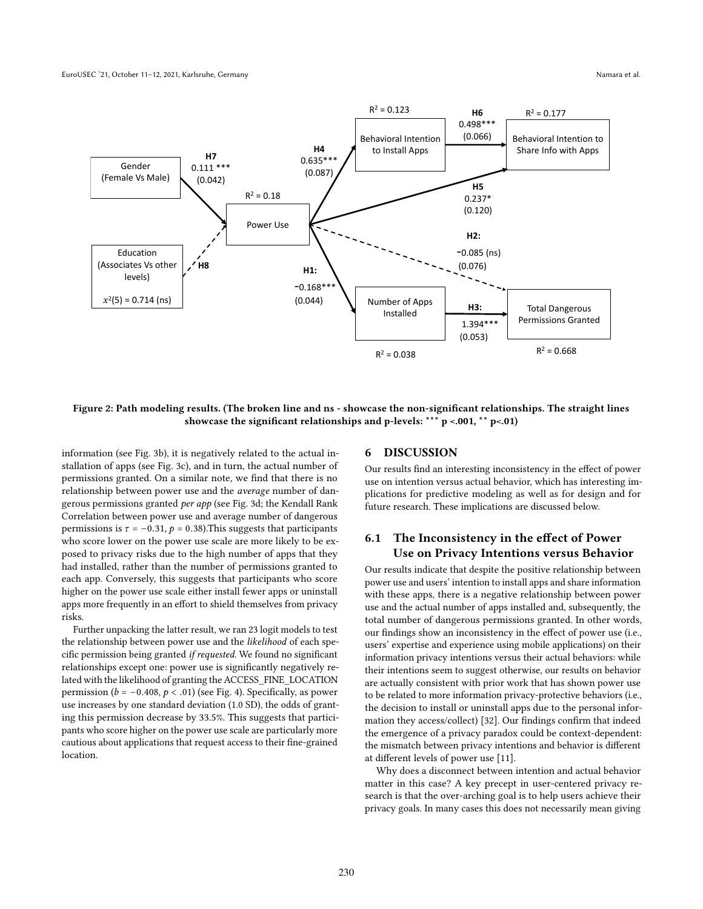<span id="page-7-0"></span>

Figure 2: Path modeling results. (The broken line and ns - showcase the non-significant relationships. The straight lines showcase the significant relationships and p-levels: \*\*\*  $p$  <.001, \*\*  $p$  <.01)

information (see Fig. [3b](#page-8-0)), it is negatively related to the actual installation of apps (see Fig. [3c](#page-8-0)), and in turn, the actual number of permissions granted. On a similar note, we find that there is no relationship between power use and the average number of dangerous permissions granted per app (see Fig. [3d](#page-8-0); the Kendall Rank Correlation between power use and average number of dangerous permissions is  $\tau = -0.31$ ,  $p = 0.38$ ). This suggests that participants who score lower on the power use scale are more likely to be exposed to privacy risks due to the high number of apps that they had installed, rather than the number of permissions granted to each app. Conversely, this suggests that participants who score higher on the power use scale either install fewer apps or uninstall apps more frequently in an effort to shield themselves from privacy risks.

Further unpacking the latter result, we ran 23 logit models to test the relationship between power use and the likelihood of each specific permission being granted if requested. We found no significant relationships except one: power use is significantly negatively related with the likelihood of granting the ACCESS\_FINE\_LOCATION permission ( $b = -0.408$ ,  $p < .01$ ) (see Fig. [4\)](#page-8-1). Specifically, as power use increases by one standard deviation (1.0 SD), the odds of granting this permission decrease by 33.5%. This suggests that participants who score higher on the power use scale are particularly more cautious about applications that request access to their fine-grained location.

#### 6 DISCUSSION

Our results find an interesting inconsistency in the effect of power use on intention versus actual behavior, which has interesting implications for predictive modeling as well as for design and for future research. These implications are discussed below.

### 6.1 The Inconsistency in the effect of Power Use on Privacy Intentions versus Behavior

Our results indicate that despite the positive relationship between power use and users' intention to install apps and share information with these apps, there is a negative relationship between power use and the actual number of apps installed and, subsequently, the total number of dangerous permissions granted. In other words, our findings show an inconsistency in the effect of power use (i.e., users' expertise and experience using mobile applications) on their information privacy intentions versus their actual behaviors: while their intentions seem to suggest otherwise, our results on behavior are actually consistent with prior work that has shown power use to be related to more information privacy-protective behaviors (i.e., the decision to install or uninstall apps due to the personal information they access/collect) [\[32\]](#page-10-3). Our findings confirm that indeed the emergence of a privacy paradox could be context-dependent: the mismatch between privacy intentions and behavior is different at different levels of power use [\[11\]](#page-10-4).

Why does a disconnect between intention and actual behavior matter in this case? A key precept in user-centered privacy research is that the over-arching goal is to help users achieve their privacy goals. In many cases this does not necessarily mean giving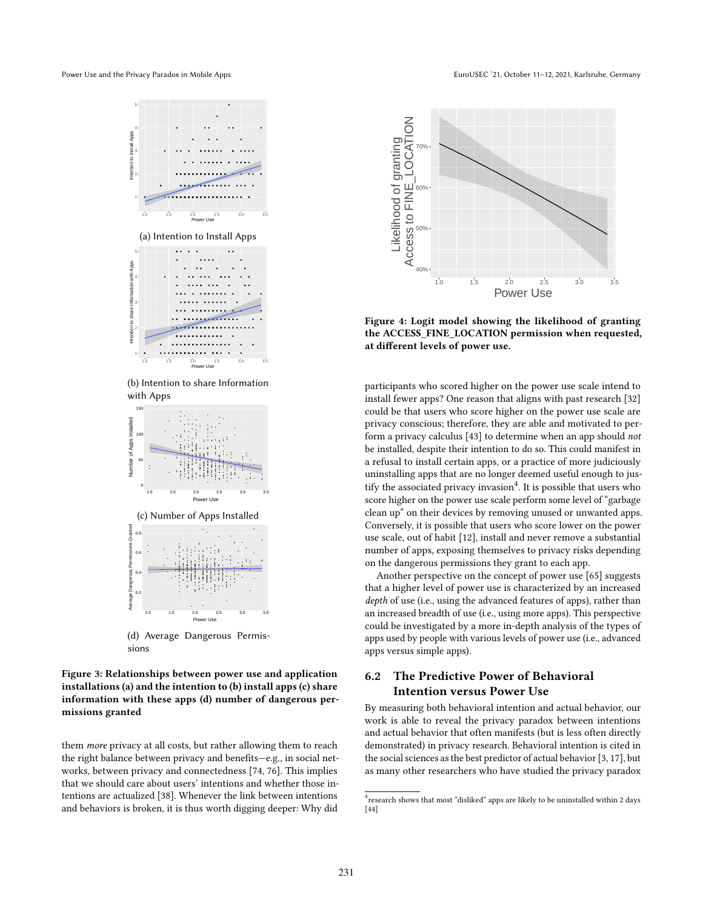<span id="page-8-0"></span>Power Use and the Privacy Paradox in Mobile Apps



**1.0 1.5 2.0 2.5 3.0 3.5** Power Use (d) Average Dangerous Permissions

#### Figure 3: Relationships between power use and application installations (a) and the intention to (b) install apps (c) share information with these apps (d) number of dangerous permissions granted with dangerous permissions and dangerous permitted and dangerous permitted and dangerous permis

the right balance between privacy and benefits—e.g., in social netthem more privacy at all costs, but rather allowing them to reach works, between privacy and connectedness [\[74,](#page-11-36) [76\]](#page-11-37). This implies that we should care about users' intentions and whether those intentions are actualized [\[38\]](#page-11-38). Whenever the link between intentions and behaviors is broken, it is thus worth digging deeper: Why did

<span id="page-8-1"></span>

Figure 4: Logit model showing the likelihood of granting the ACCESS\_FINE\_LOCATION permission when requested, at different levels of power use.

clean up" on their devices by removing unused or unwanted apps. EVIDED TO ACCESS TO BE ACCESS THE ALLOCATION CONVERSED PERMISSION PERMISSION PERMISSION PERMISSION PERMISSION PERMISSION PERMISSION PERMISSION PERMISSION PERMISSION PERMISSION PERMISSION PERMISSION PERMISSION PERMISSION PE exercisely, i.e. power and never the second control of power use scale, out of habit [\[12\]](#page-10-26), install and never remove a substantial participants who scored higher on the power use scale intend to install fewer apps? One reason that aligns with past research [\[32\]](#page-10-3) could be that users who score higher on the power use scale are privacy conscious; therefore, they are able and motivated to perform a privacy calculus [\[43\]](#page-11-39) to determine when an app should not be installed, despite their intention to do so. This could manifest in a refusal to install certain apps, or a practice of more judiciously uninstalling apps that are no longer deemed useful enough to jus-tify the associated privacy invasion<sup>[4](#page-8-2)</sup>. It is possible that users who score higher on the power use scale perform some level of "garbage number of apps, exposing themselves to privacy risks depending on the dangerous permissions they grant to each app.

> Another perspective on the concept of power use [\[65\]](#page-11-16) suggests that a higher level of power use is characterized by an increased depth of use (i.e., using the advanced features of apps), rather than an increased breadth of use (i.e., using more apps). This perspective could be investigated by a more in-depth analysis of the types of apps used by people with various levels of power use (i.e., advanced apps versus simple apps).

# 6.2 The Predictive Power of Behavioral Intention versus Power Use

By measuring both behavioral intention and actual behavior, our work is able to reveal the privacy paradox between intentions and actual behavior that often manifests (but is less often directly demonstrated) in privacy research. Behavioral intention is cited in the social sciences as the best predictor of actual behavior [\[3,](#page-10-27) [17\]](#page-10-20), but as many other researchers who have studied the privacy paradox

<span id="page-8-2"></span><sup>&</sup>lt;sup>4</sup> research shows that most "disliked" apps are likely to be uninstalled within 2 days [\[44\]](#page-11-40)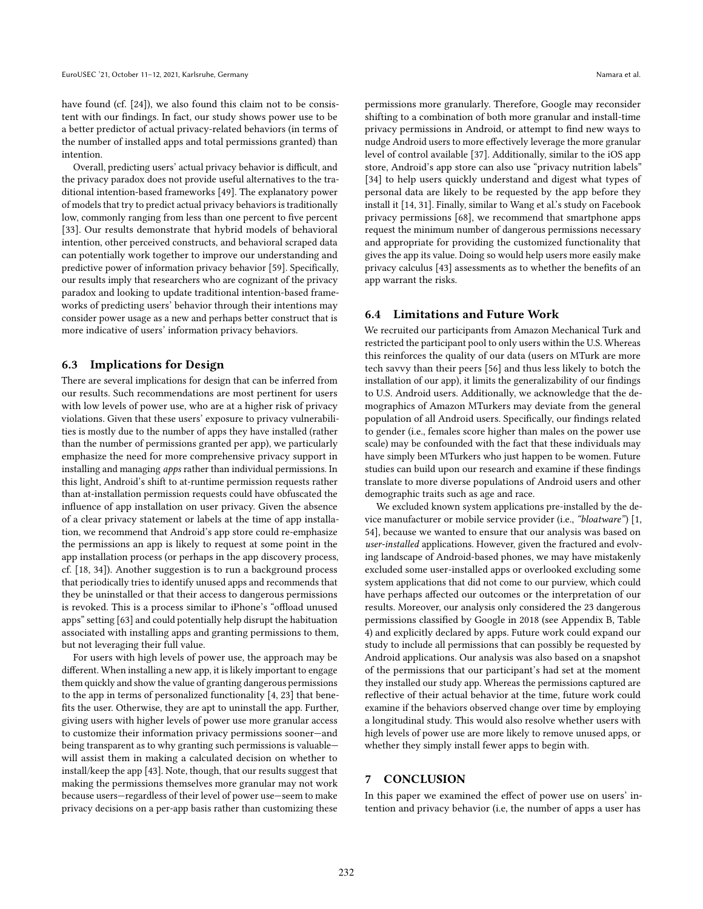have found (cf. [\[24\]](#page-10-5)), we also found this claim not to be consistent with our findings. In fact, our study shows power use to be a better predictor of actual privacy-related behaviors (in terms of the number of installed apps and total permissions granted) than intention.

Overall, predicting users' actual privacy behavior is difficult, and the privacy paradox does not provide useful alternatives to the traditional intention-based frameworks [\[49\]](#page-11-15). The explanatory power of models that try to predict actual privacy behaviors is traditionally low, commonly ranging from less than one percent to five percent [\[33\]](#page-11-24). Our results demonstrate that hybrid models of behavioral intention, other perceived constructs, and behavioral scraped data can potentially work together to improve our understanding and predictive power of information privacy behavior [\[59\]](#page-11-41). Specifically, our results imply that researchers who are cognizant of the privacy paradox and looking to update traditional intention-based frameworks of predicting users' behavior through their intentions may consider power usage as a new and perhaps better construct that is more indicative of users' information privacy behaviors.

#### 6.3 Implications for Design

There are several implications for design that can be inferred from our results. Such recommendations are most pertinent for users with low levels of power use, who are at a higher risk of privacy violations. Given that these users' exposure to privacy vulnerabilities is mostly due to the number of apps they have installed (rather than the number of permissions granted per app), we particularly emphasize the need for more comprehensive privacy support in installing and managing apps rather than individual permissions. In this light, Android's shift to at-runtime permission requests rather than at-installation permission requests could have obfuscated the influence of app installation on user privacy. Given the absence of a clear privacy statement or labels at the time of app installation, we recommend that Android's app store could re-emphasize the permissions an app is likely to request at some point in the app installation process (or perhaps in the app discovery process, cf. [\[18,](#page-10-28) [34\]](#page-11-19)). Another suggestion is to run a background process that periodically tries to identify unused apps and recommends that they be uninstalled or that their access to dangerous permissions is revoked. This is a process similar to iPhone's "offload unused apps" setting [\[63\]](#page-11-42) and could potentially help disrupt the habituation associated with installing apps and granting permissions to them, but not leveraging their full value.

For users with high levels of power use, the approach may be different. When installing a new app, it is likely important to engage them quickly and show the value of granting dangerous permissions to the app in terms of personalized functionality [\[4,](#page-10-14) [23\]](#page-10-29) that benefits the user. Otherwise, they are apt to uninstall the app. Further, giving users with higher levels of power use more granular access to customize their information privacy permissions sooner—and being transparent as to why granting such permissions is valuable will assist them in making a calculated decision on whether to install/keep the app [\[43\]](#page-11-39). Note, though, that our results suggest that making the permissions themselves more granular may not work because users—regardless of their level of power use—seem to make privacy decisions on a per-app basis rather than customizing these

permissions more granularly. Therefore, Google may reconsider shifting to a combination of both more granular and install-time privacy permissions in Android, or attempt to find new ways to nudge Android users to more effectively leverage the more granular level of control available [\[37\]](#page-11-43). Additionally, similar to the iOS app store, Android's app store can also use "privacy nutrition labels" [\[34\]](#page-11-19) to help users quickly understand and digest what types of personal data are likely to be requested by the app before they install it [\[14,](#page-10-30) [31\]](#page-10-31). Finally, similar to Wang et al.'s study on Facebook privacy permissions [\[68\]](#page-11-44), we recommend that smartphone apps request the minimum number of dangerous permissions necessary and appropriate for providing the customized functionality that gives the app its value. Doing so would help users more easily make privacy calculus [\[43\]](#page-11-39) assessments as to whether the benefits of an app warrant the risks.

#### 6.4 Limitations and Future Work

We recruited our participants from Amazon Mechanical Turk and restricted the participant pool to only users within the U.S. Whereas this reinforces the quality of our data (users on MTurk are more tech savvy than their peers [\[56\]](#page-11-29) and thus less likely to botch the installation of our app), it limits the generalizability of our findings to U.S. Android users. Additionally, we acknowledge that the demographics of Amazon MTurkers may deviate from the general population of all Android users. Specifically, our findings related to gender (i.e., females score higher than males on the power use scale) may be confounded with the fact that these individuals may have simply been MTurkers who just happen to be women. Future studies can build upon our research and examine if these findings translate to more diverse populations of Android users and other demographic traits such as age and race.

We excluded known system applications pre-installed by the device manufacturer or mobile service provider (i.e., "bloatware") [\[1,](#page-10-23) [54\]](#page-11-34), because we wanted to ensure that our analysis was based on user-installed applications. However, given the fractured and evolving landscape of Android-based phones, we may have mistakenly excluded some user-installed apps or overlooked excluding some system applications that did not come to our purview, which could have perhaps affected our outcomes or the interpretation of our results. Moreover, our analysis only considered the 23 dangerous permissions classified by Google in 2018 (see Appendix [B,](#page-12-2) Table [4\)](#page-12-4) and explicitly declared by apps. Future work could expand our study to include all permissions that can possibly be requested by Android applications. Our analysis was also based on a snapshot of the permissions that our participant's had set at the moment they installed our study app. Whereas the permissions captured are reflective of their actual behavior at the time, future work could examine if the behaviors observed change over time by employing a longitudinal study. This would also resolve whether users with high levels of power use are more likely to remove unused apps, or whether they simply install fewer apps to begin with.

#### 7 CONCLUSION

In this paper we examined the effect of power use on users' intention and privacy behavior (i.e, the number of apps a user has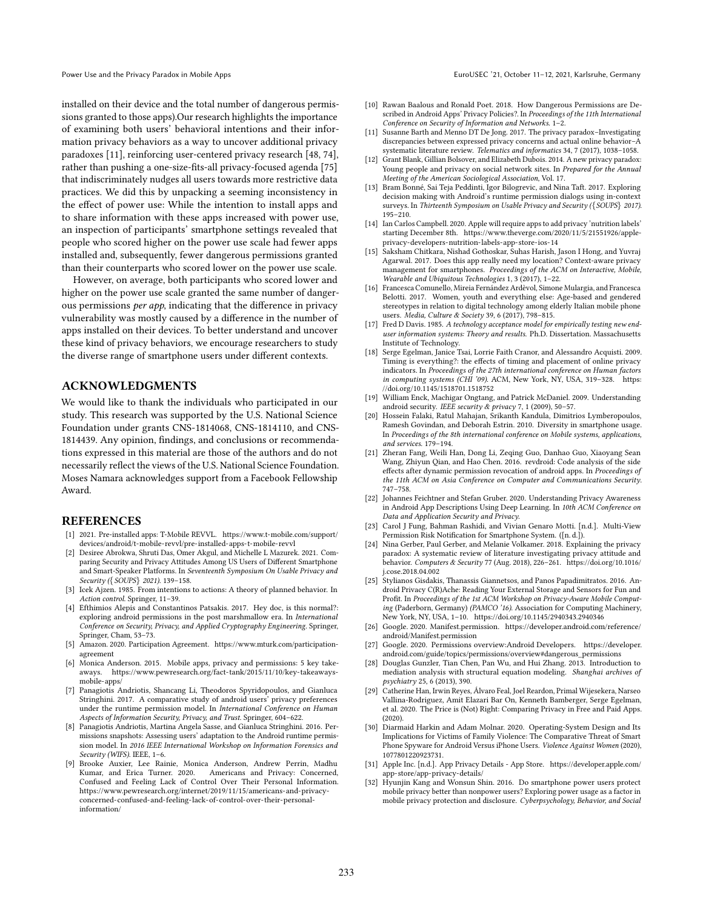installed on their device and the total number of dangerous permissions granted to those apps).Our research highlights the importance of examining both users' behavioral intentions and their information privacy behaviors as a way to uncover additional privacy paradoxes [\[11\]](#page-10-4), reinforcing user-centered privacy research [\[48,](#page-11-45) [74\]](#page-11-36), rather than pushing a one-size-fits-all privacy-focused agenda [\[75\]](#page-11-46) that indiscriminately nudges all users towards more restrictive data practices. We did this by unpacking a seeming inconsistency in the effect of power use: While the intention to install apps and to share information with these apps increased with power use, an inspection of participants' smartphone settings revealed that people who scored higher on the power use scale had fewer apps installed and, subsequently, fewer dangerous permissions granted than their counterparts who scored lower on the power use scale.

However, on average, both participants who scored lower and higher on the power use scale granted the same number of dangerous permissions per app, indicating that the difference in privacy vulnerability was mostly caused by a difference in the number of apps installed on their devices. To better understand and uncover these kind of privacy behaviors, we encourage researchers to study the diverse range of smartphone users under different contexts.

### ACKNOWLEDGMENTS

We would like to thank the individuals who participated in our study. This research was supported by the U.S. National Science Foundation under grants CNS-1814068, CNS-1814110, and CNS-1814439. Any opinion, findings, and conclusions or recommendations expressed in this material are those of the authors and do not necessarily reflect the views of the U.S. National Science Foundation. Moses Namara acknowledges support from a Facebook Fellowship Award.

#### REFERENCES

- <span id="page-10-23"></span>[1] 2021. Pre-installed apps: T-Mobile REVVL. [https://www.t-mobile.com/support/](https://www.t-mobile.com/support/devices/android/t-mobile-revvl/pre-installed-apps-t-mobile-revvl) [devices/android/t-mobile-revvl/pre-installed-apps-t-mobile-revvl](https://www.t-mobile.com/support/devices/android/t-mobile-revvl/pre-installed-apps-t-mobile-revvl)
- <span id="page-10-7"></span>[2] Desiree Abrokwa, Shruti Das, Omer Akgul, and Michelle L Mazurek. 2021. Comparing Security and Privacy Attitudes Among US Users of Different Smartphone and Smart-Speaker Platforms. In Seventeenth Symposium On Usable Privacy and Security ({SOUPS} 2021). 139–158.
- <span id="page-10-27"></span>[3] Icek Ajzen. 1985. From intentions to actions: A theory of planned behavior. In Action control. Springer, 11–39.
- <span id="page-10-14"></span>[4] Efthimios Alepis and Constantinos Patsakis. 2017. Hey doc, is this normal?: exploring android permissions in the post marshmallow era. In International Conference on Security, Privacy, and Applied Cryptography Engineering. Springer, Springer, Cham, 53–73.
- <span id="page-10-22"></span>[5] Amazon. 2020. Participation Agreement. [https://www.mturk.com/participation](https://www.mturk.com/participation-agreement)[agreement](https://www.mturk.com/participation-agreement)
- <span id="page-10-1"></span>[6] Monica Anderson. 2015. Mobile apps, privacy and permissions: 5 key takeaways. [https://www.pewresearch.org/fact-tank/2015/11/10/key-takeaways](https://www.pewresearch.org/fact-tank/2015/11/10/key-takeaways-mobile-apps/)[mobile-apps/](https://www.pewresearch.org/fact-tank/2015/11/10/key-takeaways-mobile-apps/)
- <span id="page-10-9"></span>[7] Panagiotis Andriotis, Shancang Li, Theodoros Spyridopoulos, and Gianluca Stringhini. 2017. A comparative study of android users' privacy preferences under the runtime permission model. In International Conference on Human Aspects of Information Security, Privacy, and Trust. Springer, 604–622.
- <span id="page-10-16"></span>[8] Panagiotis Andriotis, Martina Angela Sasse, and Gianluca Stringhini. 2016. Permissions snapshots: Assessing users' adaptation to the Android runtime permission model. In 2016 IEEE International Workshop on Information Forensics and Security (WIFS). IEEE, 1–6.
- <span id="page-10-21"></span>[9] Brooke Auxier, Lee Rainie, Monica Anderson, Andrew Perrin, Madhu Kumar, and Erica Turner. 2020. Americans and Privacy: Concerned, Confused and Feeling Lack of Control Over Their Personal Information. [https://www.pewresearch.org/internet/2019/11/15/americans-and-privacy](https://www.pewresearch.org/internet/2019/11/15/americans-and-privacy-concerned-confused-and-feeling-lack-of-control-over-their-personal-information/)[concerned-confused-and-feeling-lack-of-control-over-their-personal](https://www.pewresearch.org/internet/2019/11/15/americans-and-privacy-concerned-confused-and-feeling-lack-of-control-over-their-personal-information/)[information/](https://www.pewresearch.org/internet/2019/11/15/americans-and-privacy-concerned-confused-and-feeling-lack-of-control-over-their-personal-information/)
- <span id="page-10-10"></span>[10] Rawan Baalous and Ronald Poet. 2018. How Dangerous Permissions are Described in Android Apps' Privacy Policies?. In Proceedings of the 11th International Conference on Security of Information and Networks. 1–2.
- <span id="page-10-4"></span>[11] Susanne Barth and Menno DT De Jong. 2017. The privacy paradox–Investigating discrepancies between expressed privacy concerns and actual online behavior–A systematic literature review. Telematics and informatics 34, 7 (2017), 1038–1058.
- <span id="page-10-26"></span>[12] Grant Blank, Gillian Bolsover, and Elizabeth Dubois. 2014. A new privacy paradox: Young people and privacy on social network sites. In Prepared for the Annual Meeting of the American Sociological Association, Vol. 17.
- <span id="page-10-2"></span>[13] Bram Bonné, Sai Teja Peddinti, Igor Bilogrevic, and Nina Taft. 2017. Exploring decision making with Android's runtime permission dialogs using in-context surveys. In Thirteenth Symposium on Usable Privacy and Security ({SOUPS} 2017). 195–210.
- <span id="page-10-30"></span>[14] Ian Carlos Campbell. 2020. Apple will require apps to add privacy 'nutrition labels' starting December 8th. [https://www.theverge.com/2020/11/5/21551926/apple](https://www.theverge.com/2020/11/5/21551926/apple-privacy-developers-nutrition-labels-app-store-ios-14)[privacy-developers-nutrition-labels-app-store-ios-14](https://www.theverge.com/2020/11/5/21551926/apple-privacy-developers-nutrition-labels-app-store-ios-14)
- <span id="page-10-17"></span>[15] Saksham Chitkara, Nishad Gothoskar, Suhas Harish, Jason I Hong, and Yuvraj Agarwal. 2017. Does this app really need my location? Context-aware privacy management for smartphones. Proceedings of the ACM on Interactive, Mobile, Wearable and Ubiquitous Technologies 1, 3 (2017), 1–22.
- <span id="page-10-24"></span>[16] Francesca Comunello, Mireia Fernández Ardèvol, Simone Mulargia, and Francesca Belotti. 2017. Women, youth and everything else: Age-based and gendered stereotypes in relation to digital technology among elderly Italian mobile phone users. Media, Culture & Society 39, 6 (2017), 798–815.
- <span id="page-10-20"></span>[17] Fred D Davis. 1985. A technology acceptance model for empirically testing new enduser information systems: Theory and results. Ph.D. Dissertation. Massachusetts Institute of Technology.
- <span id="page-10-28"></span>[18] Serge Egelman, Janice Tsai, Lorrie Faith Cranor, and Alessandro Acquisti. 2009. Timing is everything?: the effects of timing and placement of online privacy indicators. In Proceedings of the 27th international conference on Human factors in computing systems (CHI '09). ACM, New York, NY, USA, 319–328. [https:](https://doi.org/10.1145/1518701.1518752) [//doi.org/10.1145/1518701.1518752](https://doi.org/10.1145/1518701.1518752)
- <span id="page-10-15"></span>[19] William Enck, Machigar Ongtang, and Patrick McDaniel. 2009. Understanding android security. IEEE security & privacy 7, 1 (2009), 50–57.
- <span id="page-10-13"></span>[20] Hossein Falaki, Ratul Mahajan, Srikanth Kandula, Dimitrios Lymberopoulos, Ramesh Govindan, and Deborah Estrin. 2010. Diversity in smartphone usage. In Proceedings of the 8th international conference on Mobile systems, applications, and services. 179–194.
- <span id="page-10-12"></span>[21] Zheran Fang, Weili Han, Dong Li, Zeqing Guo, Danhao Guo, Xiaoyang Sean Wang, Zhiyun Qian, and Hao Chen. 2016. revdroid: Code analysis of the side effects after dynamic permission revocation of android apps. In Proceedings of the 11th ACM on Asia Conference on Computer and Communications Security. 747–758.
- <span id="page-10-18"></span>[22] Johannes Feichtner and Stefan Gruber. 2020. Understanding Privacy Awareness in Android App Descriptions Using Deep Learning. In 10th ACM Conference on Data and Application Security and Privacy.
- <span id="page-10-29"></span>[23] Carol J Fung, Bahman Rashidi, and Vivian Genaro Motti. [n.d.]. Multi-View Permission Risk Notification for Smartphone System. ([n. d.]).
- <span id="page-10-5"></span>[24] Nina Gerber, Paul Gerber, and Melanie Volkamer. 2018. Explaining the privacy paradox: A systematic review of literature investigating privacy attitude and behavior. Computers & Security 77 (Aug. 2018), 226–261. [https://doi.org/10.1016/](https://doi.org/10.1016/j.cose.2018.04.002) [j.cose.2018.04.002](https://doi.org/10.1016/j.cose.2018.04.002)
- <span id="page-10-0"></span>[25] Stylianos Gisdakis, Thanassis Giannetsos, and Panos Papadimitratos. 2016. Android Privacy C(R)Ache: Reading Your External Storage and Sensors for Fun and Profit. In Proceedings of the 1st ACM Workshop on Privacy-Aware Mobile Computing (Paderborn, Germany) (PAMCO '16). Association for Computing Machinery, New York, NY, USA, 1–10.<https://doi.org/10.1145/2940343.2940346>
- <span id="page-10-19"></span>[26] Google. 2020. Manifest.permission. [https://developer.android.com/reference/](https://developer.android.com/reference/android/Manifest.permission) [android/Manifest.permission](https://developer.android.com/reference/android/Manifest.permission)
- <span id="page-10-8"></span>[27] Google. 2020. Permissions overview:Android Developers. [https://developer.](https://developer.android.com/guide/topics/permissions/overview#dangerous_permissions) [android.com/guide/topics/permissions/overview#dangerous\\_permissions](https://developer.android.com/guide/topics/permissions/overview#dangerous_permissions)
- <span id="page-10-25"></span>[28] Douglas Gunzler, Tian Chen, Pan Wu, and Hui Zhang. 2013. Introduction to mediation analysis with structural equation modeling. Shanghai archives of psychiatry 25, 6 (2013), 390.
- <span id="page-10-11"></span>[29] Catherine Han, Irwin Reyes, Álvaro Feal, Joel Reardon, Primal Wijesekera, Narseo Vallina-Rodriguez, Amit Elazari Bar On, Kenneth Bamberger, Serge Egelman, et al. 2020. The Price is (Not) Right: Comparing Privacy in Free and Paid Apps. (2020).
- <span id="page-10-6"></span>[30] Diarmaid Harkin and Adam Molnar. 2020. Operating-System Design and Its Implications for Victims of Family Violence: The Comparative Threat of Smart Phone Spyware for Android Versus iPhone Users. Violence Against Women (2020), 1077801220923731.
- <span id="page-10-31"></span>[31] Apple Inc. [n.d.]. App Privacy Details - App Store. [https://developer.apple.com/](https://developer.apple.com/app-store/app-privacy-details/) [app-store/app-privacy-details/](https://developer.apple.com/app-store/app-privacy-details/)
- <span id="page-10-3"></span>[32] Hyunjin Kang and Wonsun Shin. 2016. Do smartphone power users protect mobile privacy better than nonpower users? Exploring power usage as a factor in mobile privacy protection and disclosure. Cyberpsychology, Behavior, and Social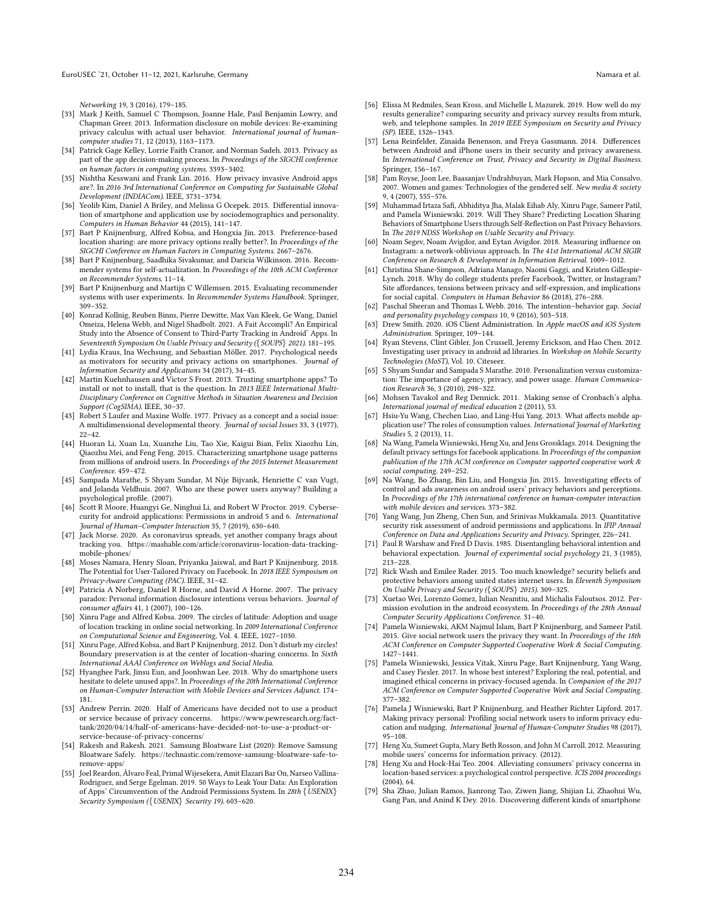EuroUSEC '21, October 11–12, 2021, Karlsruhe, Germany Namara et al.

Networking 19, 3 (2016), 179–185.

- <span id="page-11-24"></span>[33] Mark J Keith, Samuel C Thompson, Joanne Hale, Paul Benjamin Lowry, and Chapman Greer. 2013. Information disclosure on mobile devices: Re-examining privacy calculus with actual user behavior. International journal of humancomputer studies 71, 12 (2013), 1163–1173.
- <span id="page-11-19"></span>[34] Patrick Gage Kelley, Lorrie Faith Cranor, and Norman Sadeh. 2013. Privacy as part of the app decision-making process. In Proceedings of the SIGCHI conference n human factors in computing systems. 3393-3402.
- <span id="page-11-18"></span>[35] Nishtha Kesswani and Frank Lin. 2016. How privacy invasive Android apps are?. In 2016 3rd International Conference on Computing for Sustainable Global Development (INDIACom). IEEE, 3731–3734.
- <span id="page-11-6"></span>[36] Yeolib Kim, Daniel A Briley, and Melissa G Ocepek. 2015. Differential innovation of smartphone and application use by sociodemographics and personality. Computers in Human Behavior 44 (2015), 141–147.
- <span id="page-11-43"></span>[37] Bart P Knijnenburg, Alfred Kobsa, and Hongxia Jin. 2013. Preference-based location sharing: are more privacy options really better?. In Proceedings of the SIGCHI Conference on Human Factors in Computing Systems. 2667–2676.
- <span id="page-11-38"></span>[38] Bart P Knijnenburg, Saadhika Sivakumar, and Daricia Wilkinson. 2016. Recommender systems for self-actualization. In Proceedings of the 10th ACM Conference on Recommender Systems. 11–14.
- <span id="page-11-33"></span>[39] Bart P Knijnenburg and Martijn C Willemsen. 2015. Evaluating recommender systems with user experiments. In Recommender Systems Handbook. Springer, 309–352.
- <span id="page-11-12"></span>[40] Konrad Kollnig, Reuben Binns, Pierre Dewitte, Max Van Kleek, Ge Wang, Daniel Omeiza, Helena Webb, and Nigel Shadbolt. 2021. A Fait Accompli? An Empirical Study into the Absence of Consent to Third-Party Tracking in Android˜ Apps. In Seventeenth Symposium On Usable Privacy and Security ({SOUPS} 2021). 181-195.
- <span id="page-11-3"></span>[41] Lydia Kraus, Ina Wechsung, and Sebastian Möller. 2017. Psychological needs as motivators for security and privacy actions on smartphones. Journal of Information Security and Applications 34 (2017), 34–45.
- <span id="page-11-20"></span>[42] Martin Kuehnhausen and Victor S Frost. 2013. Trusting smartphone apps? To install or not to install, that is the question. In 2013 IEEE International Multi-Disciplinary Conference on Cognitive Methods in Situation Awareness and Decision Support (CogSIMA). IEEE, 30–37.
- <span id="page-11-39"></span>[43] Robert S Laufer and Maxine Wolfe. 1977. Privacy as a concept and a social issue: A multidimensional developmental theory. Journal of social Issues 33, 3 (1977), 22–42.
- <span id="page-11-40"></span>[44] Huoran Li, Xuan Lu, Xuanzhe Liu, Tao Xie, Kaigui Bian, Felix Xiaozhu Lin, Qiaozhu Mei, and Feng Feng. 2015. Characterizing smartphone usage patterns from millions of android users. In Proceedings of the 2015 Internet Measurement Conference. 459–472.
- <span id="page-11-5"></span>[45] Sampada Marathe, S Shyam Sundar, M Nije Bijvank, Henriette C van Vugt, and Jolanda Veldhuis. 2007. Who are these power users anyway? Building a psychological profile. (2007).
- <span id="page-11-8"></span>[46] Scott R Moore, Huangyi Ge, Ninghui Li, and Robert W Proctor. 2019. Cybersecurity for android applications: Permissions in android 5 and 6. International Journal of Human–Computer Interaction 35, 7 (2019), 630–640.
- <span id="page-11-10"></span>[47] Jack Morse. 2020. As coronavirus spreads, yet another company brags about tracking you. [https://mashable.com/article/coronavirus-location-data-tracking](https://mashable.com/article/coronavirus-location-data-tracking-mobile-phones/)[mobile-phones/](https://mashable.com/article/coronavirus-location-data-tracking-mobile-phones/)
- <span id="page-11-45"></span>[48] Moses Namara, Henry Sloan, Priyanka Jaiswal, and Bart P Knijnenburg. 2018. The Potential for User-Tailored Privacy on Facebook. In 2018 IEEE Symposium on Privacy-Aware Computing (PAC). IEEE, 31–42.
- <span id="page-11-15"></span>[49] Patricia A Norberg, Daniel R Horne, and David A Horne. 2007. The privacy paradox: Personal information disclosure intentions versus behaviors. Journal of consumer affairs 41, 1 (2007), 100–126.
- <span id="page-11-31"></span>[50] Xinru Page and Alfred Kobsa. 2009. The circles of latitude: Adoption and usage of location tracking in online social networking. In 2009 International Conference on Computational Science and Engineering, Vol. 4. IEEE, 1027–1030.
- <span id="page-11-32"></span>[51] Xinru Page, Alfred Kobsa, and Bart P Knijnenburg. 2012. Don't disturb my circles! Boundary preservation is at the center of location-sharing concerns. In Sixth International AAAI Conference on Weblogs and Social Media.
- <span id="page-11-4"></span>[52] Hyanghee Park, Jinsu Eun, and Joonhwan Lee. 2018. Why do smartphone users hesitate to delete unused apps?. In Proceedings of the 20th International Conference on Human-Computer Interaction with Mobile Devices and Services Adjunct. 174– 181.
- <span id="page-11-0"></span>[53] Andrew Perrin. 2020. Half of Americans have decided not to use a product or service because of privacy concerns. [https://www.pewresearch.org/fact](https://www.pewresearch.org/fact-tank/2020/04/14/half-of-americans-have-decided-not-to-use-a-product-or-service-because-of-privacy-concerns/)[tank/2020/04/14/half-of-americans-have-decided-not-to-use-a-product-or](https://www.pewresearch.org/fact-tank/2020/04/14/half-of-americans-have-decided-not-to-use-a-product-or-service-because-of-privacy-concerns/)[service-because-of-privacy-concerns/](https://www.pewresearch.org/fact-tank/2020/04/14/half-of-americans-have-decided-not-to-use-a-product-or-service-because-of-privacy-concerns/)
- <span id="page-11-34"></span>[54] Rakesh and Rakesh. 2021. Samsung Bloatware List (2020): Remove Samsung Bloatware Safely. [https://technastic.com/remove-samsung-bloatware-safe-to](https://technastic.com/remove-samsung-bloatware-safe-to-remove-apps/)[remove-apps/](https://technastic.com/remove-samsung-bloatware-safe-to-remove-apps/)
- <span id="page-11-11"></span>[55] Joel Reardon, Álvaro Feal, Primal Wijesekera, Amit Elazari Bar On, Narseo Vallina-Rodriguez, and Serge Egelman. 2019. 50 Ways to Leak Your Data: An Exploration of Apps' Circumvention of the Android Permissions System. In 28th {USENIX} Security Symposium ({USENIX} Security 19). 603–620.
- <span id="page-11-29"></span>[56] Elissa M Redmiles, Sean Kross, and Michelle L Mazurek. 2019. How well do my results generalize? comparing security and privacy survey results from mturk, web, and telephone samples. In 2019 IEEE Symposium on Security and Privacy (SP). IEEE, 1326–1343.
- <span id="page-11-2"></span>[57] Lena Reinfelder, Zinaida Benenson, and Freya Gassmann. 2014. Differences between Android and iPhone users in their security and privacy awareness. In International Conference on Trust, Privacy and Security in Digital Business. Springer, 156–167.
- <span id="page-11-25"></span>[58] Pam Royse, Joon Lee, Baasanjav Undrahbuyan, Mark Hopson, and Mia Consalvo. 2007. Women and games: Technologies of the gendered self. New media & society 9, 4 (2007), 555–576.
- <span id="page-11-41"></span>[59] Muhammad Irtaza Safi, Abhiditya Jha, Malak Eihab Aly, Xinru Page, Sameer Patil, and Pamela Wisniewski. 2019. Will They Share? Predicting Location Sharing Behaviors of Smartphone Users through Self-Reflection on Past Privacy Behaviors. In The 2019 NDSS Workshop on Usable Security and Privacy.
- <span id="page-11-17"></span>[60] Noam Segev, Noam Avigdor, and Eytan Avigdor. 2018. Measuring influence on Instagram: a network-oblivious approach. In The 41st International ACM SIGIR Conference on Research & Development in Information Retrieval. 1009–1012.
- <span id="page-11-26"></span>[61] Christina Shane-Simpson, Adriana Manago, Naomi Gaggi, and Kristen Gillespie-Lynch. 2018. Why do college students prefer Facebook, Twitter, or Instagram? Site affordances, tensions between privacy and self-expression, and implications for social capital. Computers in Human Behavior 86 (2018), 276–288.
- <span id="page-11-7"></span>[62] Paschal Sheeran and Thomas L Webb. 2016. The intention–behavior gap. Social and personality psychology compass 10, 9 (2016), 503–518.
- <span id="page-11-42"></span>[63] Drew Smith. 2020. iOS Client Administration. In Apple macOS and iOS System Administration. Springer, 109–144.
- <span id="page-11-13"></span>[64] Ryan Stevens, Clint Gibler, Jon Crussell, Jeremy Erickson, and Hao Chen. 2012. Investigating user privacy in android ad libraries. In Workshop on Mobile Security Technologies (MoST), Vol. 10. Citeseer.
- <span id="page-11-16"></span>[65] S Shyam Sundar and Sampada S Marathe. 2010. Personalization versus customization: The importance of agency, privacy, and power usage. Human Communication Research 36, 3 (2010), 298–322.
- <span id="page-11-35"></span>[66] Mohsen Tavakol and Reg Dennick. 2011. Making sense of Cronbach's alpha. International journal of medical education 2 (2011), 53.
- <span id="page-11-22"></span>[67] Hsiu-Yu Wang, Chechen Liao, and Ling-Hui Yang. 2013. What affects mobile application use? The roles of consumption values. International Journal of Marketing Studies 5, 2 (2013), 11.
- <span id="page-11-44"></span>[68] Na Wang, Pamela Wisniewski, Heng Xu, and Jens Grossklags. 2014. Designing the default privacy settings for facebook applications. In Proceedings of the companion publication of the 17th ACM conference on Computer supported cooperative work & social computing. 249–252.
- <span id="page-11-1"></span>[69] Na Wang, Bo Zhang, Bin Liu, and Hongxia Jin. 2015. Investigating effects of control and ads awareness on android users' privacy behaviors and perceptions. In Proceedings of the 17th international conference on human-computer interaction with mobile devices and services. 373–382.
- <span id="page-11-14"></span>[70] Yang Wang, Jun Zheng, Chen Sun, and Srinivas Mukkamala. 2013. Quantitative security risk assessment of android permissions and applications. In IFIP Annual Conference on Data and Applications Security and Privacy. Springer, 226–241.
- <span id="page-11-21"></span>[71] Paul R Warshaw and Fred D Davis. 1985. Disentangling behavioral intention and behavioral expectation. Journal of experimental social psychology 21, 3 (1985), 213–228.
- <span id="page-11-28"></span>[72] Rick Wash and Emilee Rader. 2015. Too much knowledge? security beliefs and protective behaviors among united states internet users. In Eleventh Symposium On Usable Privacy and Security ({SOUPS} 2015). 309–325.
- <span id="page-11-9"></span>[73] Xuetao Wei, Lorenzo Gomez, Iulian Neamtiu, and Michalis Faloutsos. 2012. Permission evolution in the android ecosystem. In Proceedings of the 28th Annual Computer Security Applications Conference. 31–40.
- <span id="page-11-36"></span>[74] Pamela Wisniewski, AKM Najmul Islam, Bart P Knijnenburg, and Sameer Patil. 2015. Give social network users the privacy they want. In Proceedings of the 18th ACM Conference on Computer Supported Cooperative Work & Social Computing. 1427–1441.
- <span id="page-11-46"></span>[75] Pamela Wisniewski, Jessica Vitak, Xinru Page, Bart Knijnenburg, Yang Wang, and Casey Fiesler. 2017. In whose best interest? Exploring the real, potential, and imagined ethical concerns in privacy-focused agenda. In Companion of the 2017 ACM Conference on Computer Supported Cooperative Work and Social Computing. 377–382.
- <span id="page-11-37"></span>[76] Pamela J Wisniewski, Bart P Knijnenburg, and Heather Richter Lipford. 2017. Making privacy personal: Profiling social network users to inform privacy education and nudging. International Journal of Human-Computer Studies 98 (2017), 95–108.
- <span id="page-11-23"></span>[77] Heng Xu, Sumeet Gupta, Mary Beth Rosson, and John M Carroll. 2012. Measuring mobile users' concerns for information privacy. (2012).
- <span id="page-11-30"></span>[78] Heng Xu and Hock-Hai Teo. 2004. Alleviating consumers' privacy concerns in location-based services: a psychological control perspective. ICIS 2004 proceedings (2004), 64.
- <span id="page-11-27"></span>[79] Sha Zhao, Julian Ramos, Jianrong Tao, Ziwen Jiang, Shijian Li, Zhaohui Wu, Gang Pan, and Anind K Dey. 2016. Discovering different kinds of smartphone